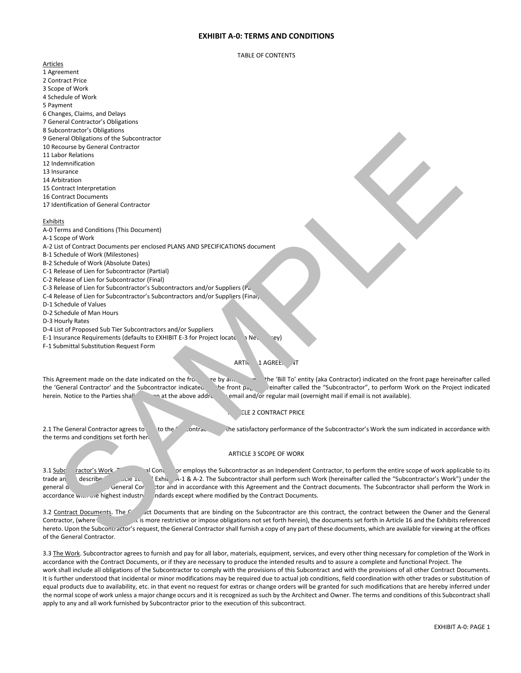# **EXHIBIT A-0: TERMS AND CONDITIONS**

### TABLE OF CONTENTS

## Articles

- 1 Agreement
- 2 Contract Price
- 3 Scope of Work
- 4 Schedule of Work
- 5 Payment
- 6 Changes, Claims, and Delays
- 7 General Contractor's Obligations
- 8 Subcontractor's Obligations
- 9 General Obligations of the Subcontractor
- 10 Recourse by General Contractor
- 11 Labor Relations
- 12 Indemnification
- 13 Insurance
- 14 Arbitration
- 15 Contract Interpretation
- 16 Contract Documents
- 17 Identification of General Contractor

### Exhibits

- A-0 Terms and Conditions (This Document)
- A-1 Scope of Work
- A-2 List of Contract Documents per enclosed PLANS AND SPECIFICATIONS document
- B-1 Schedule of Work (Milestones)
- B-2 Schedule of Work (Absolute Dates)
- C-1 Release of Lien for Subcontractor (Partial)
- C-2 Release of Lien for Subcontractor (Final)
- C-3 Release of Lien for Subcontractor's Subcontractors and/or Suppliers (Partial)
- C-4 Release of Lien for Subcontractor's Subcontractors and/or Suppliers (Final)
- D-1 Schedule of Values
- D-2 Schedule of Man Hours
- D-3 Hourly Rates
- D-4 List of Proposed Sub Tier Subcontractors and/or Suppliers
- E-1 Insurance Requirements (defaults to EXHIBIT E-3 for Project locate in New Jersey)
- F-1 Submittal Substitution Request Form

## ARTIC 1 AGREE.

This Agreement made on the date indicated on the frontient on the 'Bill To' entity (aka Contractor) indicated on the front page hereinafter called the 'General Contractor' and the Subcontractor indicated be front  $p_{\sigma_k}$  einafter called the "Subcontractor", to perform Work on the Project indicated herein. Notice to the Parties shall and bove address by email and/or regular mail (overnight mail if email is not available).

# **ELE 2 CONTRACT PRICE**

2.1 The General Contractor agrees to but the Contractor of the Subcontractor's Work the sum indicated in accordance with the terms and conditions set forth here

## ARTICLE 3 SCOPE OF WORK

3.1 Subcontractor's Work. The General Contractor employs the Subcontractor as an Independent Contractor, to perform the entire scope of work applicable to its trade and and as described in Article 16 A-2. The Subcontractor shall perform such Work (hereinafter called the "Subcontractor's Work") under the general direction of the General Contractor shall perform the Work in accordance with this Agreement and the Contract documents. The Subcontractor shall perform the Work in accordance www.withe highest industry standards except where modified by the Contract Documents.

3.2 Contract Documents. The Contract Documents that are binding on the Subcontractor are this contract, the contract between the Owner and the General Contractor, (where  $\sim$  is more restrictive or impose obligations not set forth herein), the documents set forth in Article 16 and the Exhibits referenced hereto. Upon the Subcontractor's request, the General Contractor shall furnish a copy of any part of these documents, which are available for viewing at the offices of the General Contractor. energy Cheronic Christian Cheronic Cheronic Cheronic Cheronic Cheronic Cheronic Cheronic Cheronic Cheronic Cheronic Cheronic Cheronic Cheronic Cheronic Cheronic Cheronic Cheronic Cheronic Cheronic Cheronic Cheronic Cheroni

3.3 The Work. Subcontractor agrees to furnish and pay for all labor, materials, equipment, services, and every other thing necessary for completion of the Work in accordance with the Contract Documents, or if they are necessary to produce the intended results and to assure a complete and functional Project. The work shall include all obligations of the Subcontractor to comply with the provisions of this Subcontract and with the provisions of all other Contract Documents. It is further understood that incidental or minor modifications may be required due to actual job conditions, field coordination with other trades or substitution of equal products due to availability, etc. in that event no request for extras or change orders will be granted for such modifications that are hereby inferred under the normal scope of work unless a major change occurs and it is recognized as such by the Architect and Owner. The terms and conditions of this Subcontract shall apply to any and all work furnished by Subcontractor prior to the execution of this subcontract.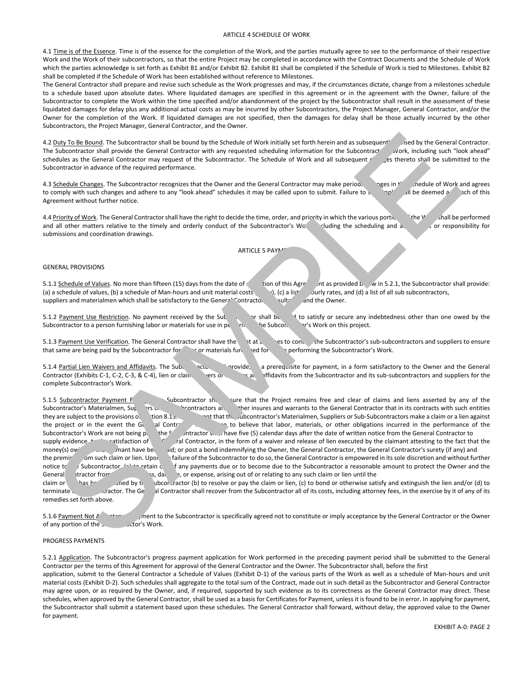#### ARTICLE 4 SCHEDULE OF WORK

4.1 Time is of the Essence. Time is of the essence for the completion of the Work, and the parties mutually agree to see to the performance of their respective Work and the Work of their subcontractors, so that the entire Project may be completed in accordance with the Contract Documents and the Schedule of Work which the parties acknowledge is set forth as Exhibit B1 and/or Exhibit B2. Exhibit B1 shall be completed if the Schedule of Work is tied to Milestones. Exhibit B2 shall be completed if the Schedule of Work has been established without reference to Milestones.

The General Contractor shall prepare and revise such schedule as the Work progresses and may, if the circumstances dictate, change from a milestones schedule to a schedule based upon absolute dates. Where liquidated damages are specified in this agreement or in the agreement with the Owner, failure of the Subcontractor to complete the Work within the time specified and/or abandonment of the project by the Subcontractor shall result in the assessment of these liquidated damages for delay plus any additional actual costs as may be incurred by other Subcontractors, the Project Manager, General Contractor, and/or the Owner for the completion of the Work. If liquidated damages are not specified, then the damages for delay shall be those actually incurred by the other Subcontractors, the Project Manager, General Contractor, and the Owner.

A.2 Duty To Be Bound. The Subcontractor shall be bound by the Schedule of Work initially set forth herein and as subsequent and by the General Contractor.<br>"Vork, including such "look ahead" revised scheduling information f The Subcontractor shall provide the General Contractor with any requested scheduling information for the Subcontractor with shead" schedules as the General Contractor may request of the Subcontractor. The Schedule of Work schedules as the General Contractor may request of the Subcontractor. The Schedule of Work and all subsequent c' Subcontractor in advance of the required performance.

4.3 Schedule Changes. The Subcontractor recognizes that the Owner and the General Contractor may make periodic regis in the Schedule of Work and agrees to comply with such changes and adhere to any "look ahead" schedules it may be called upon to submit. Failure to so explored a bareach of this Agreement without further notice.

4.4 Priority of Work. The General Contractor shall have the right to decide the time, order, and priority in which the various portionally the Work shall be performed and all other matters relative to the timely and orderly conduct of the Subcontractor's Work, including the scheduling and as significant or responsibility for submissions and coordination drawings.

## ARTICLE 5 PAYM'

### GENERAL PROVISIONS

5.1.1 Schedule of Values. No more than fifteen (15) days from the date of extendion of this Agreement as provided below in 5.2.1, the Subcontractor shall provide: (a) a schedule of values, (b) a schedule of Man-hours and unit material costs (i), (c) a list ourly rates, and (d) a list of all sub subcontractors, suppliers and materialmen which shall be satisfactory to the General Contractor, Contractor, Consultants, and the Owner.

5.1.2 Payment Use Restriction. No payment received by the Subcontractor shall be used to satisfy or secure any indebtedness other than one owed by the Subcontractor to a person furnishing labor or materials for use in performing the Subcontractor to a person furnishing labor or materials for use in performing the Subcontractor's Work on this project.

5.1.3 Payment Use Verification. The General Contractor shall have the right at all times to contact the Subcontractor's sub-subcontractors and suppliers to ensure that same are being paid by the Subcontractor for labor or materials furnished for unsergo in performing the Subcontractor's Work.

5.1.4 Partial Lien Waivers and Affidavits. The Subcontractor shall provide, a prerequisite for payment, in a form satisfactory to the Owner and the General Contractor shall provide contractor shall provide, and suppliers f Pers or exhibits C-2, C-2, C-2, C-4), lien or claim was contractor and its sub-subcontractors and suppliers for the complete Subcontractor's Work.

5.1.5 Subcontractor Payment Failure. The Subcontractor shall interest that the Project remains free and clear of claims and liens asserted by any of the Subcontractor's Materialmen, Suppliers or Subcontractors and Fuer insures and warrants to the General Contractor that in its contracts with such entities they are subject to the provisions of the tion 8.13. Intertation subcontractor's Materialmen, Suppliers or Sub-Subcontractors make a claim or a lien against the project or in the event the General Contractor has reason to believe that labor, materials, or other obligations incurred in the performance of the Subcontractor's Work are not being paid, the Subcontractor shall have five (5) calendar days after the date of written notice from the General Contractor to supply evidence, the satisfaction of the General Contractor, in the form of a waiver and release of lien executed by the claimant attesting to the fact that the money(s) owing the claimant have been paid; or post a bond indemnifying the Owner, the General Contractor, the General Contractor's surety (if any) and the premises om such claim or lien. Upon the failure of the Subcontractor to do so, the General Contractor is empowered in its sole discretion and without further notice to subcontractor, (a) to retain c fany payments due or to become due to the Subcontractor a reasonable amount to protect the Owner and the General tractor from any and all loss, damage, or expense, arising out of or relating to any such claim or lien until the claim or lines between satisfy and extinguish the lien and/or (d) to resolve or pay the claim or lien, (c) to bond or otherwise satisfy and extinguish the lien and/or (d) to terminate the Subcontractor shall recover from the Subcontractor all of its costs, including attorney fees, in the exercise by it of any of its remedies set forth above. Due To the Solution of the Solution of the Solution of the Solution of the Solution of the Solution of the Solution of the Solution of the Solution of the Solution of the Solution of the Solution of the Solution of the So

5.1.6 Payment Not Acceptance is the Subcontractor is specifically agreed not to constitute or imply acceptance by the General Contractor or the Owner of any portion of the Subcortractor's Work.

### PROGRESS PAYMENTS

5.2.1 Application. The Subcontractor's progress payment application for Work performed in the preceding payment period shall be submitted to the General Contractor per the terms of this Agreement for approval of the General Contractor and the Owner. The Subcontractor shall, before the first application, submit to the General Contractor a Schedule of Values (Exhibit D-1) of the various parts of the Work as well as a schedule of Man-hours and unit

material costs (Exhibit D-2). Such schedules shall aggregate to the total sum of the Contract, made out in such detail as the Subcontractor and General Contractor may agree upon, or as required by the Owner, and, if required, supported by such evidence as to its correctness as the General Contractor may direct. These schedules, when approved by the General Contractor, shall be used as a basis for Certificates for Payment, unless it is found to be in error. In applying for payment, the Subcontractor shall submit a statement based upon these schedules. The General Contractor shall forward, without delay, the approved value to the Owner for payment.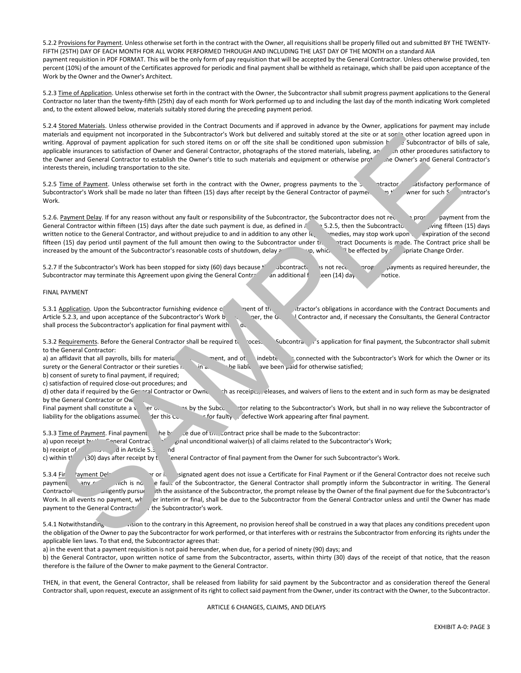5.2.2 Provisions for Payment. Unless otherwise set forth in the contract with the Owner, all requisitions shall be properly filled out and submitted BY THE TWENTY-FIFTH (25TH) DAY OF EACH MONTH FOR ALL WORK PERFORMED THROUGH AND INCLUDING THE LAST DAY OF THE MONTH on a standard AIA payment requisition in PDF FORMAT. This will be the only form of pay requisition that will be accepted by the General Contractor. Unless otherwise provided, ten percent (10%) of the amount of the Certificates approved for periodic and final payment shall be withheld as retainage, which shall be paid upon acceptance of the Work by the Owner and the Owner's Architect.

5.2.3 Time of Application. Unless otherwise set forth in the contract with the Owner, the Subcontractor shall submit progress payment applications to the General Contractor no later than the twenty-fifth (25th) day of each month for Work performed up to and including the last day of the month indicating Work completed and, to the extent allowed below, materials suitably stored during the preceding payment period.

5.2.4 Stored Materials. Unless otherwise provided in the Contract Documents and if approved in advance by the Owner, applications for payment may include materials and equipment not incorporated in the Subcontractor's Work but delivered and suitably stored at the site or at some other location agreed upon in writing. Approval of payment application for such stored items on or off the site shall be conditioned upon submission by the Subcontractor of bills of sale, applicable insurances to satisfactory to the Subcontractor, phot applicable insurances to satisfaction of Owner and General Contractor, photographs of the stored materials, labeling, and nother procedures satisfactory to the Owner and General Contractor's title to such materials and equ the Owner and General Contractor to establish the Owner's title to such materials and equipment or otherwise prot interests therein, including transportation to the site.

5.2.5 Time of Payment. Unless otherwise set forth in the contract with the Owner, progress payments to the Subcontractor satisfactory performance of Subcontractor's Work shall be made no later than fifteen (15) days after Subcontractor's Work shall be made no later than fifteen (15) days after receipt by the General Contractor of payment from the Owner for such Subcontractor's Work.

5.2.6. Payment Delay. If for any reason without any fault or responsibility of the Subcontractor, the Subcontractor does not receive payment from the General Contractor within fifteen (15) days after the date such payment is due, as defined in  $\Lambda$  5.2.5, then the Subcontractor, upon gifteen (15) days written notice to the General Contractor, and without prejudice to and in addition to any other legal remedies, may stop work upon expiration of the second fifteen (15) day period until payment of the full amount then owing to the Subcontractor under the Contract Documents is made. The Contract price shall be increased by the amount of the Subcontractor's reasonable costs of shutdown, delay and shall be effected by a priate Change Order. Termin and qualitations in the Substitute of the Substitute of the Substitute of all the set of a state of the Substitute of the Substitute of the Substitute of the Substitute of the Substitute of the Substitute of the Su

5.2.7 If the Subcontractor's Work has been stopped for sixty (60) days because the Subcontractor is not received progress payments as required hereunder, the Subcontractor may terminate this Agreement upon giving the General Contractor an additional fourth een (14) day

### FINAL PAYMENT

5.3.1 Application. Upon the Subcontractor furnishing evidence only nent of the Subcontractor's obligations in accordance with the Contract Documents and Article 5.2.3, and upon acceptance of the Subcontractor's Work by the Owner, the General Contractor and, if necessary the Consultants, the General Contractor shall process the Subcontractor's application for final payment with  $\alpha$ 

5.3.2 Requirements. Before the General Contractor shall be required to process Subcontractor for final payment, the Subcontractor shall submit to the General Contractor:

a) an affidavit that all payrolls, bills for materials and other indebtedness connected with the Subcontractor's Work for which the Owner or its surety or the General Contractor or their sureties  $n = \ln a$  we been paid for otherwise satisfied;

b) consent of surety to final payment, if required;

c) satisfaction of required close-out procedures; and

d) other data if required by the Gereral Contractor or Owner, such as receipts, releases, and waivers of liens to the extent and in such form as may be designated by the General Contractor or  $\Omega$ w

Final payment shall constitute a waiver of all claims by the Subcontractor to the Subcontractor's Work, but shall in no way relieve the Subcontractor of liability for the obligations assumed under this Contract, or for faulty or defective Work appearing after final payment.

5.3.3 Time of Payment. Final payment  $\qquad$  he b $\leq$   $\leq$  due of the Contract price shall be made to the Subcontractor:

a) upon receipt by the General Contractor of original unconditional waiver(s) of all claims related to the Subcontractor's Work;

b) receipt of  $\sim$  all in Article 5.3.2, and

c) within  $t' = (30)$  days after receipt by the General Contractor of final payment from the Owner for such Subcontractor's Work.

payment to the General Contractor

5.3.4 Final Payment Delay. In the Owner or it signated agent does not issue a Certificate for Final Payment or if the General Contractor does not receive such payment any cause for any cause for a fault of the Subcontractor, the General Contractor shall promptly inform the Subcontractor in writing. The General Contractor shall also diligently pursue, with the assistance of the Subcontractor, the prompt release by the Owner of the final payment due for the Subcontractor's Work. In all events no payment, whether interim or final, shall be due to the Subcontractor from the General Contractor unless and until the Owner has made payment to the General Contractor of the Subcontractor's work.

5.4.1 Notwithstanding any provision to the contrary in this Agreement, no provision hereof shall be construed in a way that places any conditions precedent upon the obligation of the Owner to pay the Subcontractor for work performed, or that interferes with or restrains the Subcontractor from enforcing its rights under the applicable lien laws. To that end, the Subcontractor agrees that:

a) in the event that a payment requisition is not paid hereunder, when due, for a period of ninety (90) days; and

b) the General Contractor, upon written notice of same from the Subcontractor, asserts, within thirty (30) days of the receipt of that notice, that the reason therefore is the failure of the Owner to make payment to the General Contractor.

THEN, in that event, the General Contractor, shall be released from liability for said payment by the Subcontractor and as consideration thereof the General Contractor shall, upon request, execute an assignment of its right to collect said payment from the Owner, under its contract with the Owner, to the Subcontractor.

ARTICLE 6 CHANGES, CLAIMS, AND DELAYS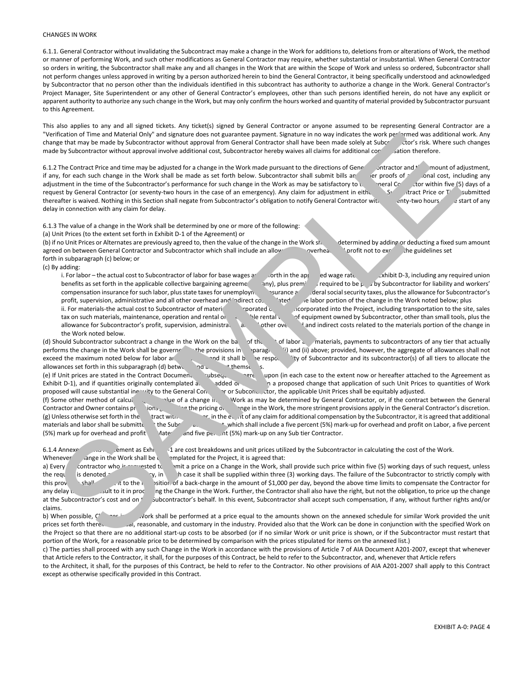### CHANGES IN WORK

6.1.1. General Contractor without invalidating the Subcontract may make a change in the Work for additions to, deletions from or alterations of Work, the method or manner of performing Work, and such other modifications as General Contractor may require, whether substantial or insubstantial. When General Contractor so orders in writing, the Subcontractor shall make any and all changes in the Work that are within the Scope of Work and unless so ordered, Subcontractor shall not perform changes unless approved in writing by a person authorized herein to bind the General Contractor, it being specifically understood and acknowledged by Subcontractor that no person other than the individuals identified in this subcontract has authority to authorize a change in the Work. General Contractor's Project Manager, Site Superintendent or any other of General Contractor's employees, other than such persons identified herein, do not have any explicit or apparent authority to authorize any such change in the Work, but may only confirm the hours worked and quantity of material provided by Subcontractor pursuant to this Agreement.

This also applies to any and all signed tickets. Any ticket(s) signed by General Contractor or anyone assumed to be representing General Contractor are a "Verification of Time and Material Only" and signature does not guarantee payment. Signature in no way indicates the work performed was additional work. Any change that may be made by Subcontractor without approval from General Contractor shall have been made solely at Subcontractor's risk. Where such changes made by Subcontractor without approval involve additional cost, Subcontractor hereby waives all claims for additional corpensation therefore.

6.1.2 The Contract Price and time may be adjusted for a change in the Work made pursuant to the directions of General Contractor and the Montro of adjustment, if any for each such change in the Work shall be made as set f if any, for each such change in the Work shall be made as set forth below. Subcontractor shall submit bills an other proofs of a considerational cost, including any adjustment in the time of the Subcontractor's performance for such change in the Work as may be satisfactory to the General Contractor (5) days of a request by General Contractor (or seventy-two hours in the case of an emergency). Any claim for adjustment in eithe Submitted Submitted thereafter is waived. Nothing in this Section shall negate from Subcontractor's obligation to notify General Contractor wit. enty-two hours setart of any delay in connection with any claim for delay.

6.1.3 The value of a change in the Work shall be determined by one or more of the following:

(a) Unit Prices (to the extent set forth in Exhibit D-1 of the Agreement) or

(b) if no Unit Prices or Alternates are previously agreed to, then the value of the change in the Work shall be determined by adding or deducting a fixed sum amount agreed on between General Contractor and Subcontractor which shall include an allowance overhead and profit not to exceed the guidelines set forth in subparagraph (c) below; or

(c) By adding:

i. For labor – the actual cost to Subcontractor of labor for base wages a set forth in the approved wage rate shibit D-3, including any required union benefits as set forth in the applicable collective bargaining agreeme  $\qquad$  any), plus premiums required to be paid by Subcontractor for liability and workers' compensation insurance for such labor, plus state taxes for unemployn. surance a detail social security taxes, plus the allowance for Subcontractor's profit, supervision, administrative and all other overhead and indirect costant to the labor portion of the change in the Work noted below; plus ii. For materials-the actual cost to Subcontractor of materials incorporated or to the Project, including transportation to the site, sales tax on such materials, maintenance, operation and rental or reasonable rental value of equipment owned by Subcontractor, other than small tools, plus the allowance for Subcontractor's profit, supervision, administrative and indirect costs related to the materials portion of the change in the Work noted below. when the and showed CoV and speake of planet appeared to the very independent of the second weak and the second with the second with the second with the second with the second with the second with the second with the seco

(d) Should Subcontractor subcontract a change in the Work on the basis of the cost of labor and materials, payments to subcontractors of any tier that actually performs the change in the Work shall be governed the provisions in subparagraph (ii) above; provided, however, the aggregate of allowances shall not exceed the maximum noted below for labor and materials and it shall be the responsibility of Subcontractor and its subcontractor(s) of all tiers to allocate the allowances set forth in this subparagraph (d) between and and themselves.

(e) If Unit prices are stated in the Contract Document subsequently agreed upon (in each case to the extent now or hereafter attached to the Agreement as Exhibit D-1), and if quantities originally contemplated and added or deleted in a proposed change that application of such Unit Prices to quantities of Work proposed will cause substantial inequity to the General Contractor or Subcontractor, the applicable Unit Prices shall be equitably adjusted.

(f) Some other method of calculation the value of a change in the vork as may be determined by General Contractor, or, if the contract between the General Contractor and Owner contains provisions  $\alpha$  the pricing of a change in the Work, the more stringent provisions apply in the General Contractor's discretion. (g) Unless otherwise set forth in the tract with  $\sim$  in the event of any claim for additional compensation by the Subcontractor, it is agreed that additional materials and labor shall be submitted at the Subcontractor cost, which shall include a five percent (5%) mark-up for overhead and profit on Labor, a five percent (5%) mark up for overhead and profit Aaterial, and five percent (5%) mark-up on any Sub tier Contractor.

6.1.4 Annexed to the Work. Agreement as Exhibit 1 are cost breakdowns and unit prices utilized by the Subcontractor in calculating the cost of the Work. Whenever ange in the Work shall be complated for the Project, it is agreed that:

claims.

a) Every contractor who is request, unit a price on a Change in the Work, shall provide such price within five (5) working days of such request, unless the request is denoted as an emergency, in which case it shall be supplied within three (3) working days. The failure of the Subcontractor to strictly comply with this provisible in the individual subject in the amount of \$1,000 per day, beyond the above time limits to compensate the Contractor for

any delay that the that may delay that to it in processing the Change in the Work. Further, the Contractor shall also have the right, but not the obligation, to price up the change in the Change in the Work. Further, the C subcontractor's behalf. In this event, Subcontractor shall accept such compensation, if any, without further rights and/or

b) When possible, Changes in the Work shall be performed at a price equal to the amounts shown on the annexed schedule for similar Work provided the unit prices set forth there. **In the industry in the industry. Provided also that the Work can be done in conjunction with the specified Work on** the Project so that there are no additional start-up costs to be absorbed (or if no similar Work or unit price is shown, or if the Subcontractor must restart that portion of the Work, for a reasonable price to be determined by comparison with the prices stipulated for items on the annexed list.)

c) The parties shall proceed with any such Change in the Work in accordance with the provisions of Article 7 of AIA Document A201-2007, except that whenever that Article refers to the Contractor, it shall, for the purposes of this Contract, be held to refer to the Subcontractor, and, whenever that Article refers

to the Architect, it shall, for the purposes of this Contract, be held to refer to the Contractor. No other provisions of AIA A201-2007 shall apply to this Contract except as otherwise specifically provided in this Contract.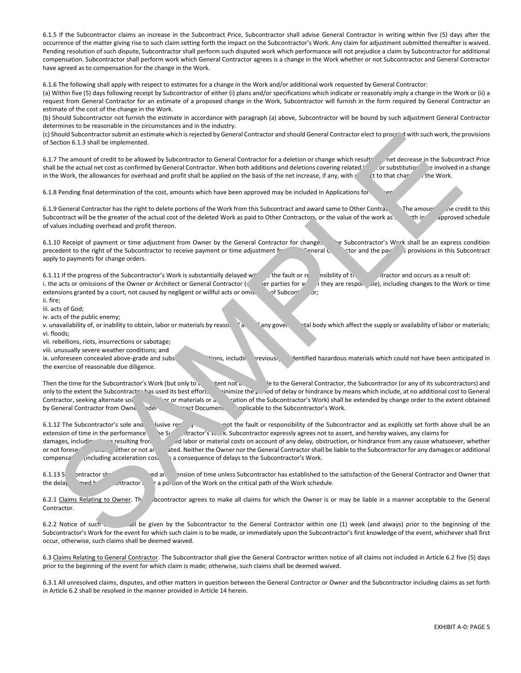6.1.5 If the Subcontractor claims an increase in the Subcontract Price, Subcontractor shall advise General Contractor in writing within five (5) days after the occurrence of the matter giving rise to such claim setting forth the impact on the Subcontractor's Work. Any claim for adjustment submitted thereafter is waived. Pending resolution of such dispute, Subcontractor shall perform such disputed work which performance will not prejudice a claim by Subcontractor for additional compensation. Subcontractor shall perform work which General Contractor agrees is a change in the Work whether or not Subcontractor and General Contractor have agreed as to compensation for the change in the Work.

6.1.6 The following shall apply with respect to estimates for a change in the Work and/or additional work requested by General Contractor:

(a) Within five (5) days following receipt by Subcontractor of either (i) plans and/or specifications which indicate or reasonably imply a change in the Work or (ii) a request from General Contractor for an estimate of a proposed change in the Work, Subcontractor will furnish in the form required by General Contractor an estimate of the cost of the change in the Work.

(b) Should Subcontractor not furnish the estimate in accordance with paragraph (a) above, Subcontractor will be bound by such adjustment General Contractor determines to be reasonable in the circumstances and in the industry.

(c) Should Subcontractor submit an estimate which is rejected by General Contractor and should General Contractor elect to procend with such work, the provisions of Section 6.1.3 shall be implemented.

6.1.7 The amount of credit to be allowed by Subcontractor to General Contractor for a deletion or change which resultreed the decrease in the Subcontract Price shall be the actual net cost as confirmed by General Contractor. When both additions and deletions covering related Yor substitution einvolved in a change in the Work, the allowances for overhead and profit shall be applie in the Work, the allowances for overhead and profit shall be applied on the basis of the net increase, if any, with respect to that change in the Work.

6.1.8 Pending final determination of the cost, amounts which have been approved may be included in Applications for

6.1.9 General Contractor has the right to delete portions of the Work from this Subcontract and award same to Other Contract The amount one credit to this Subcontract will be the greater of the actual cost of the deleted Work as paid to Other Contractors, or the value of the work as the in approved schedule of values including overhead and profit thereon.

6.1.10 Receipt of payment or time adjustment from Owner by the General Contractor for changes in the Subcontractor's Work shall be an express condition precedent to the right of the Subcontractor to receive payment or time adjustment from the General Contractor and the payment or time and the General Contractor and the payment provisions in this Subcontractor and the paym apply to payments for change orders.

6.1.11 If the progress of the Subcontractor's Work is substantially delayed with the fault or reponsibility of the Subcontractor's Work is substantially delayed with the fault or reponsibility of the Subcontractor's Work i i. the acts or omissions of the Owner or Architect or General Contractor (or other parties for whom they are responsible), including changes to the Work or time extensions granted by a court, not caused by negligent or willful acts or omis. The Subcontractor of Subcontractor;

ii. fire; iii. acts of God;

iv. acts of the public enemy;

v. unavailability of, or inability to obtain, labor or materials by reaso. faction any governal body which affect the supply or availability of labor or materials; vi. floods;

vii. rebellions, riots, insurrections or sabotage;

viii. unusually severe weather conditions; and

ix. unforeseen concealed above-grade and subsurface conditions, including previously dentified hazardous materials which could not have been anticipated in the exercise of reasonable due diligence.

Then the time for the Subcontractor's Work (but only to the extent not attributable to the General Contractor, the Subcontractor (or any of its subcontractors) and only to the extent the Subcontractor has used its best efforts inimize the period of delay or hindrance by means which include, at no additional cost to General Contractor, seeking alternate so component or or materials or acceleration of the Subcontractor's Work) shall be extended by change order to the extent obtained by General Contractor from Owner under the Contract Documents as applicable to the Subcontractor's Work.

6.1.12 The Subcontractor's sole and explusive remedy for the fault or responsibility of the Subcontractor and as explicitly set forth above shall be an extension of time in the performance he Subcontractor's v. A. Subcontractor expressly agrees not to assert, and hereby waives, any claims for damages, including the resulting from increased labor or material costs on account of any delay, obstruction, or hindrance from any cause whatsoever, whether or not foreser and whether or not anticipated. Neither the Owner nor the General Contractor shall be liable to the Subcontractor for any damages or additional compensa<sup>t</sup> (including acceleration costs) as a consequence of delays to the Subcontractor's Work. Bould subscripted to the subscripted by Gorean Contracts and one of contracts each piece of subscripted by the subscripted by the subscripted by the subscripted by the subscripted by the subscripted by the subscripted by

6.1.13 Subcontractor shall not be allowed an extension of time unless Subcontractor has established to the satisfaction of the General Contractor and Owner that the delay comed by Subcontractor is for a portion of the Work on the critical path of the Work schedule.

6.2.1 Claims Relating to Owner. The Subcontractor agrees to make all claims for which the Owner is or may be liable in a manner acceptable to the General **Contractor** 

6.2.2 Notice of such claims in the given by the Subcontractor to the General Contractor within one (1) week (and always) prior to the beginning of the Subcontractor's Work for the event for which such claim is to be made, or immediately upon the Subcontractor's first knowledge of the event, whichever shall first occur, otherwise, such claims shall be deemed waived.

6.3 Claims Relating to General Contractor. The Subcontractor shall give the General Contractor written notice of all claims not included in Article 6.2 five (5) days prior to the beginning of the event for which claim is made; otherwise, such claims shall be deemed waived.

6.3.1 All unresolved claims, disputes, and other matters in question between the General Contractor or Owner and the Subcontractor including claims as set forth in Article 6.2 shall be resolved in the manner provided in Article 14 herein.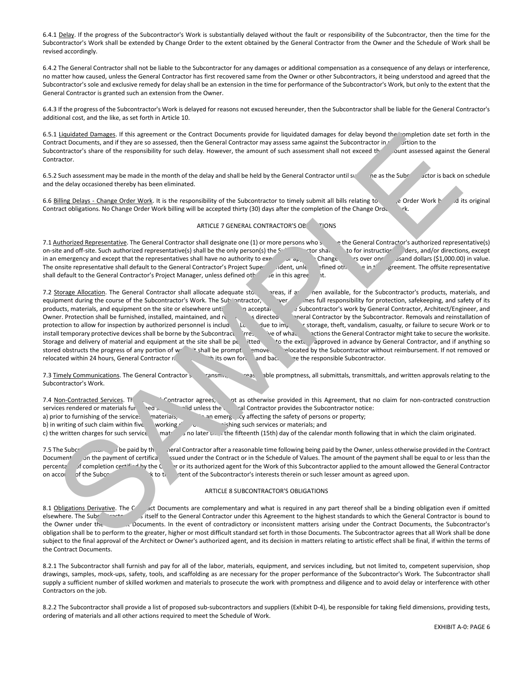6.4.1 Delay. If the progress of the Subcontractor's Work is substantially delayed without the fault or responsibility of the Subcontractor, then the time for the Subcontractor's Work shall be extended by Change Order to the extent obtained by the General Contractor from the Owner and the Schedule of Work shall be revised accordingly.

6.4.2 The General Contractor shall not be liable to the Subcontractor for any damages or additional compensation as a consequence of any delays or interference, no matter how caused, unless the General Contractor has first recovered same from the Owner or other Subcontractors, it being understood and agreed that the Subcontractor's sole and exclusive remedy for delay shall be an extension in the time for performance of the Subcontractor's Work, but only to the extent that the General Contractor is granted such an extension from the Owner.

6.4.3 If the progress of the Subcontractor's Work is delayed for reasons not excused hereunder, then the Subcontractor shall be liable for the General Contractor's additional cost, and the like, as set forth in Article 10.

6.5.1 Liquidated Damages. If this agreement or the Contract Documents provide for liquidated damages for delay beyond the completion date set forth in the Contract Documents, and if they are so assessed, then the General Contractor may assess same against the Subcontractor in Subcontractor's share of the responsibility for such delay. However, the amount of such assessment shall not exceed the quart assessed against the General Contractor.

6.5.2 Such assessment may be made in the month of the delay and shall be held by the General Contractor until such the subcontractor is back on schedule and the delay occasioned thereby has been eliminated.

6.6 Billing Delays - Change Order Work. It is the responsibility of the Subcontractor to timely submit all bills relating to change Order Work beind its original Contract obligations. No Change Order Work billing will be accepted thirty (30) days after the completion of the Change Order

## ARTICLE 7 GENERAL CONTRACTOR'S OBLIGATIONS

7.1 Authorized Representative. The General Contractor shall designate one (1) or more persons who shall be the General Contractor's authorized representative(s) on-site and off-site. Such authorized representative(s) shall be the only person(s) the Subcontractor shall look to for instructions ders, and/or directions, except in an emergency and except that the representatives shall have no authority to executive  $\mu_{\rm p}$ . Change  $\mu_{\rm p}$  cover one thousand dollars (\$1,000.00) in value. The onsite representative shall default to the General Contractor's Project Superintendent, unless a fined otherwise in this agreement. The offsite representative shall default to the General Contractor's Project Manager, unless defined otherwise in this agreement.

7.2 Storage Allocation. The General Contractor shall allocate adequate sto. The available, for the Subcontractor's products, materials, and equipment during the course of the Subcontractor's Work. The Subcontractor, ver, and safety of its and safety of its products, materials, and equipment on the site or elsewhere until acceptance of the Subcontractor's work by General Contractor, Architect/Engineer, and Owner. Protection shall be furnished, installed, maintained, and removed as directed by the Subcontractor. Removals and reinstallation of protection to allow for inspection by authorized personnel is included. Losses due to improper storage, theft, vandalism, casualty, or failure to secure Work or to install temporary protective devices shall be borne by the Subcontractor irres ver of whatever the General Contractor might take to secure the worksite. Storage and delivery of material and equipment at the site shall be permitted to the extent approved in advance by General Contractor, and if anything so stored obstructs the progress of any portion of work, it shall be prompted on relocated by the Subcontractor without reimbursement. If not removed or relocated within 24 hours, General Contractor may do so with its own forces and backcharge the responsible Subcontractor. 1) <u>Limited Smarters</u> if this agreement of the Comment Counterts provide for limited simultanes for discusses and agreement in the comment of the comment of the comment of the comment of the comment of the comment of the

7.3 Timely Communications. The General Contractor shall consmit, when the promptness, all submittals, transmittals, and written approvals relating to the Subcontractor's Work.

7.4 Non-Contracted Services. The General Contractor agrees, except as otherwise provided in this Agreement, that no claim for non-contracted construction services rendered or materials furnished shall be valid unless the General Contractor provides the Subcontractor notice: a) prior to furnishing of the services materials, examelenes in a memorgency affecting the safety of persons or property; b) in writing of such claim within five  $\Box$  working  $\Box$  working such services or materials; and c) the written charges for such service materials no later than the fifteenth (15th) day of the calendar month following that in which the claim originated.

7.5 The Subcontinum the paid by the General Contractor after a reasonable time following being paid by the Owner, unless otherwise provided in the Contract Document on the payment of certifica ssued under the Contract or in the Schedule of Values. The amount of the payment shall be equal to or less than the percentage of completion certified by the Center or its authorized agent for the Work of this Subcontractor applied to the amount allowed the General Contractor on account of the Subcontractor's interests therein or such lesser amount as agreed upon.

## ARTICLE 8 SUBCONTRACTOR'S OBLIGATIONS

8.1 Obligations Derivative. The Contract Documents are complementary and what is required in any part thereof shall be a binding obligation even if omitted elsewhere. The Subcontractor is bound to itself to the General Contractor under this Agreement to the highest standards to which the General Contractor is bound to the Owner under the Subcontractor's bound to the Owner und c Documents. In the event of contradictory or inconsistent matters arising under the Contract Documents, the Subcontractor's obligation shall be to perform to the greater, higher or most difficult standard set forth in those Documents. The Subcontractor agrees that all Work shall be done subject to the final approval of the Architect or Owner's authorized agent, and its decision in matters relating to artistic effect shall be final, if within the terms of the Contract Documents.

8.2.1 The Subcontractor shall furnish and pay for all of the labor, materials, equipment, and services including, but not limited to, competent supervision, shop drawings, samples, mock-ups, safety, tools, and scaffolding as are necessary for the proper performance of the Subcontractor's Work. The Subcontractor shall supply a sufficient number of skilled workmen and materials to prosecute the work with promptness and diligence and to avoid delay or interference with other Contractors on the job.

8.2.2 The Subcontractor shall provide a list of proposed sub-subcontractors and suppliers (Exhibit D-4), be responsible for taking field dimensions, providing tests, ordering of materials and all other actions required to meet the Schedule of Work.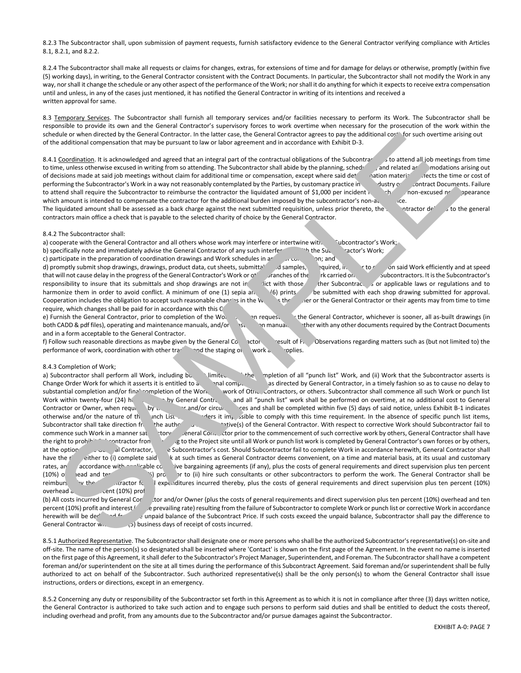8.2.3 The Subcontractor shall, upon submission of payment requests, furnish satisfactory evidence to the General Contractor verifying compliance with Articles 8.1, 8.2.1, and 8.2.2.

8.2.4 The Subcontractor shall make all requests or claims for changes, extras, for extensions of time and for damage for delays or otherwise, promptly (within five (5) working days), in writing, to the General Contractor consistent with the Contract Documents. In particular, the Subcontractor shall not modify the Work in any way, nor shall it change the schedule or any other aspect of the performance of the Work; nor shall it do anything for which it expects to receive extra compensation until and unless, in any of the cases just mentioned, it has notified the General Contractor in writing of its intentions and received a written approval for same.

8.3 Temporary Services. The Subcontractor shall furnish all temporary services and/or facilities necessary to perform its Work. The Subcontractor shall be responsible to provide its own and the General Contractor's supervisory forces to work overtime when necessary for the prosecution of the work within the schedule or when directed by the General Contractor. In the latter case, the General Contractor agrees to pay the additional cost for such overtime arising out of the additional compensation that may be pursuant to law or labor agreement and in accordance with Exhibit D-3.

8.4.1 Coordination. It is acknowledged and agreed that an integral part of the contractual obligations of the Subcontractor is to attend all job meetings from time to time, unless otherwise excused in writing from so attending. The Subcontractor shall abide by the planning, scheduling, and related arcommodations arising out of decisions made at said job meetings without claim for additional time or compensation, except where said determinaterially affects the time or cost of performing the Subcontractor's Work in a way not reasonably contemplated by the Parties, by customary practice in dustry or contract Documents. Failure to attend shall require the Subcontractor to reimburse the contractor the liquidated amount of \$1,000 per incident for each such as the subcontractor to reimburse the contractor the liquidated amount of \$1,000 per incident which amount is intended to compensate the contractor for the additional burden imposed by the subcontractor's non-attendance. The liquidated amount shall be assessed as a back charge against the next submitted requisition, unless prior thereto, the subcontractor delivers to the general contractors main office a check that is payable to the selected charity of choice by the General Contractor.

#### 8.4.2 The Subcontractor shall:

a) cooperate with the General Contractor and all others whose work may interfere or intertwine with the Subcontractor's Work;

b) specifically note and immediately advise the General Contractor of any such interference with the Subcontractor's Work;

c) participate in the preparation of coordination drawings and Work schedules in areas of congestion; and d) promptly submit shop drawings, drawings, product data, cut sheets, submittal disamples, and squired, in to carry on said Work efficiently and at speed that will not cause delay in the progress of the General Contractor's Work or o<sup>t</sup> straches of the rk carried on by outcontractors. It is the Subcontractor's responsibility to insure that its submittals and shop drawings are not in contractors of subcontractors or applicable laws or regulations and to harmonize them in order to avoid conflict. A minimum of one (1) sepia and shall be rints the submitted with each shop drawing submitted for approval. Cooperation includes the obligation to accept such reasonable changes in the Work as the Owner or the General Contractor or their agents may from time to time require, which changes shall be paid for in accordance with this C

e) Furnish the General Contractor, prior to completion of the Work, or when requested the General Contractor, whichever is sooner, all as-built drawings (in both CADD & pdf files), operating and maintenance manuals, and/or esconstruction manuals ther with any other documents required by the Contract Documents and in a form acceptable to the General Contractor.

f) Follow such reasonable directions as maybe given by the General Contractor and the such as regarding matters such as (but not limited to) the performance of work, coordination with other trades, and the staging of its work and supplies.

## 8.4.3 Completion of Work;

a) Subcontractor shall perform all Work, including bu imited the completion of all "punch list" Work, and (ii) Work that the Subcontractor asserts is Change Order Work for which it asserts it is entitled to a nal compensation as directed by General Contractor, in a timely fashion so as to cause no delay to substantial completion and/or final completion of the Work, work of Other Contractors, or others. Subcontractor shall commence all such Work or punch list Work within twenty-four (24) how the General Contractor, and all "punch list" work shall be performed on overtime, at no additional cost to General Contractor or Owner, when required by the Owner and/or circumstances and shall be completed within five (5) days of said notice, unless Exhibit B-1 indicates otherwise and/or the nature of the Punch List work renders it im<sub>possible</sub> to comply with this time requirement. In the absence of specific punch list items, Subcontractor shall take direction from the authorized representative (s) of the General Contractor. With respect to corrective Work should Subcontractor fail to commence such Work in a manner sate to the contractor contractor prior to the commencement of such corrective work by others, General Contractor shall have the right to prohibit Subcontractor from returning to the Project site until all Work or punch list work is completed by General Contractor's own forces or by others, at the option of the General Contractor, at Subcontractor's cost. Should Subcontractor fail to complete Work in accordance herewith, General Contractor shall have the right either to (i) complete said k at such times as General Contractor deems convenient, on a time and material basis, at its usual and customary rates, an accordance with applicable collective bargaining agreements (if any), plus the costs of general requirements and direct supervision plus ten percent (10%) o ead and ten percent of percent (ii) hire such consultants or other subcontractors to perform the work. The General Contractor shall be reimburs v the suractor for all expenditures incurred thereby, plus the costs of general requirements and direct supervision plus ten percent (10%) overhead and ten cent (10%) prof (b) All costs incurred by General Cortractor and/or Owner (plus the costs of general requirements and direct supervision plus ten percent (10%) overhead and ten one de de distribuye de de mais Contractor, in la base de contractor presente participa a contractor de la contractor de la contractor de mais Contractor de la contractor de la contractor de la contractor de la contractor

percent (10%) profit and interest  $\ell$  e prevailing rate) resulting from the failure of Subcontractor to complete Work or punch list or corrective Work in accordance herewith will be deducted from the unpaid balance of the Subcontract Price. If such costs exceed the unpaid balance, Subcontractor shall pay the difference to General Contractor with  $\epsilon$  (5) business days of receipt of costs incurred.

8.5.1 Authorized Representative. The Subcontractor shall designate one or more persons who shall be the authorized Subcontractor's representative(s) on-site and off-site. The name of the person(s) so designated shall be inserted where 'Contact' is shown on the first page of the Agreement. In the event no name is inserted on the first page of this Agreement, it shall defer to the Subcontractor's Project Manager, Superintendent, and Foreman. The Subcontractor shall have a competent foreman and/or superintendent on the site at all times during the performance of this Subcontract Agreement. Said foreman and/or superintendent shall be fully authorized to act on behalf of the Subcontractor. Such authorized representative(s) shall be the only person(s) to whom the General Contractor shall issue instructions, orders or directions, except in an emergency.

8.5.2 Concerning any duty or responsibility of the Subcontractor set forth in this Agreement as to which it is not in compliance after three (3) days written notice, the General Contractor is authorized to take such action and to engage such persons to perform said duties and shall be entitled to deduct the costs thereof, including overhead and profit, from any amounts due to the Subcontractor and/or pursue damages against the Subcontractor.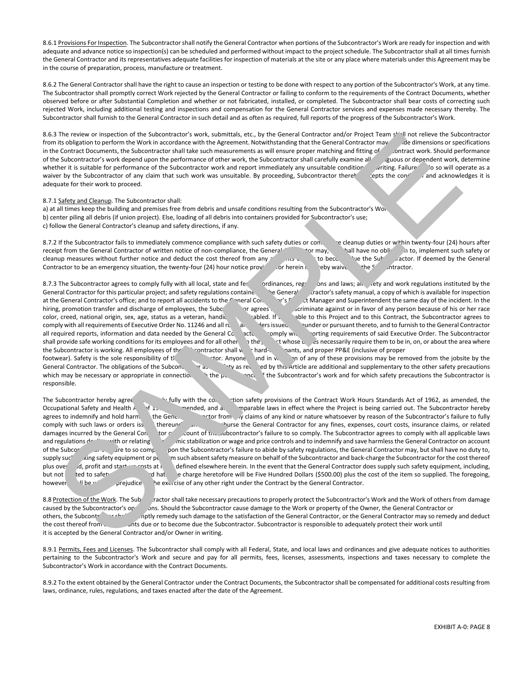8.6.1 Provisions For Inspection. The Subcontractor shall notify the General Contractor when portions of the Subcontractor's Work are ready for inspection and with adequate and advance notice so inspection(s) can be scheduled and performed without impact to the project schedule. The Subcontractor shall at all times furnish the General Contractor and its representatives adequate facilities for inspection of materials at the site or any place where materials under this Agreement may be in the course of preparation, process, manufacture or treatment.

8.6.2 The General Contractor shall have the right to cause an inspection or testing to be done with respect to any portion of the Subcontractor's Work, at any time. The Subcontractor shall promptly correct Work rejected by the General Contractor or failing to conform to the requirements of the Contract Documents, whether observed before or after Substantial Completion and whether or not fabricated, installed, or completed. The Subcontractor shall bear costs of correcting such rejected Work, including additional testing and inspections and compensation for the General Contractor services and expenses made necessary thereby. The Subcontractor shall furnish to the General Contractor in such detail and as often as required, full reports of the progress of the Subcontractor's Work.

8.6.3 The review or inspection of the Subcontractor's work, submittals, etc., by the General Contractor and/or Project Team shall not relieve the Subcontractor from its obligation to perform the Work in accordance with the Agreement. Notwithstanding that the General Contractor may de dimensions or specifications in the Contract Documents, the Subcontractor shall take such measurements as will ensure proper matching and fitting of contract work. Should performance of the Subcontractor's work depend upon the performance of other work, the Subcontractor shall carefully examine all guous or dependent work, determine whether it is suitable for performance of the Subcontractor work and report immediately any unsuitable condition writing. Failure lo so will operate as a waiver by the Subcontractor of any claim that such work was unsuitable. By proceeding, Subcontractor there exercepts the condition and acknowledges it is adequate for their work to proceed.

### 8.7.1 Safety and Cleanup. The Subcontractor shall:

a) at all times keep the building and premises free from debris and unsafe conditions resulting from the Subcontractor's Work b) center piling all debris (if union project). Else, loading of all debris into containers provided for Subcontractor's use; c) follow the General Contractor's cleanup and safety directions, if any.

8.7.2 If the Subcontractor fails to immediately commence compliance with such safety duties or con. e cleanup duties or within twenty-four (24) hours after receipt from the General Contractor of written notice of non-compliance, the General Contractor may, hall have no obligation to, implement such safety or cleanup measures without further notice and deduct the cost thereof from any amounts due to become like the Subcontractor. If deemed by the General Contractor to be an emergency situation, the twenty-four (24) hour notice provided for herein is hereby waive the Subcontractor.

8.7.3 The Subcontractor agrees to comply fully with all local, state and federal ordinances, regulations and laws; all safety and work regulations instituted by the General Contractor for this particular project; and safety regulations containe in the General care cafety manual, a copy of which is available for inspection at the General Contractor's office; and to report all accidents to the General Contractor's  $\mathbf{r}'$  at Manager and Superintendent the same day of the incident. In the hiring, promotion transfer and discharge of employees, the Subcontractor agrees not to discriminate against or in favor of any person because of his or her race color, creed, national origin, sex, age, status as a veteran, handic<br>
able to this Project and to this Contract, the Subcontractor agrees to comply with all requirements of Executive Order No. 11246 and all rules and outer sissued vunder or pursuant thereto, and to furnish to the General Contractor all required reports, information and data needed by the General Contractor comply with a porting requirements of said Executive Order. The Subcontractor shall provide safe working conditions for its employees and for all other on the prototypedual share essarily require them to be in, on, or about the area where the Subcontractor is working. All employees of the Subcontractor shall weard-hats, and proper PP&E (inclusive of proper footwear). Safety is the sole responsibility of the Subcontractor. Anyone found in violation of any of these provisions may be removed from the jobsite by the General Contractor. The obligations of the Subcontractor as the subcontractor as the safety precautions of the Subcontractor as the safety precautions of the Subcontractor at a subsection of the Subcontractor and suppleme which may be necessary or appropriate in connection with the performance of the Subcontractor's work and for which safety precautions the Subcontractor is 3 The review of the Subscript of the Montenant work, then yields the resume and containing the season in the subscript of the subscript of the subscript of the subscript of the subscript of the subscript of the subscript

responsible.

The Subcontractor hereby agree the fully with the construction safety provisions of the Contract Work Hours Standards Act of 1962, as amended, the Occupational Safety and Health Act of 1970, and any comparable laws in effect where the Project is being carried out. The Subcontractor hereby agrees to indemnify and hold harm the General Contractor from any claims of any kind or nature whatsoever by reason of the Subcontractor's failure to fully comply with such laws or orders iss thereunder and to refuse the General Contractor for any fines, expenses, court costs, insurance claims, or related damages incurred by the General Contractor of the Subcontractor's failure to so comply. The Subcontractor agrees to comply with all applicable laws and regulations dealing with or relating with or relation or wage and price controls and to indemnify and save harmless the General Contractor on account of the Subcontractor's failure to abide by safety regulations, the General Contractor may, but shall have no duty to, supply such althorm such absent safety measure on behalf of the Subcontractor and back-charge the Subcontractor for the cost thereof plus over d, profit and start-up costs at rates defined elsewhere herein. In the event that the General Contractor does supply such safety equipment, including, but not limited to safety and hat charge heretofore will be Five Hundred Dollars (\$500.00) plus the cost of the item so supplied. The foregoing, however, if he without prejudice the exercise of any other right under the Contract by the General Contractor.

8.8 Protection of the Work. The Subcontractor shall take necessary precautions to properly protect the Subcontractor's Work and the Work of others from damage caused by the Subcontractor's operations. Should the Subcontractor cause damage to the Work or property of the Owner, the General Contractor or others, the Subcontractor shall promptly remedy such damage to the satisfaction of the General Contractor, or the General Contractor may so remedy and deduct the cost thereof from ants due or to become due the Subcontractor. Subcontractor is responsible to adequately protect their work until it is accepted by the General Contractor and/or Owner in writing.

8.9.1 Permits, Fees and Licenses. The Subcontractor shall comply with all Federal, State, and local laws and ordinances and give adequate notices to authorities pertaining to the Subcontractor's Work and secure and pay for all permits, fees, licenses, assessments, inspections and taxes necessary to complete the Subcontractor's Work in accordance with the Contract Documents.

8.9.2 To the extent obtained by the General Contractor under the Contract Documents, the Subcontractor shall be compensated for additional costs resulting from laws, ordinance, rules, regulations, and taxes enacted after the date of the Agreement.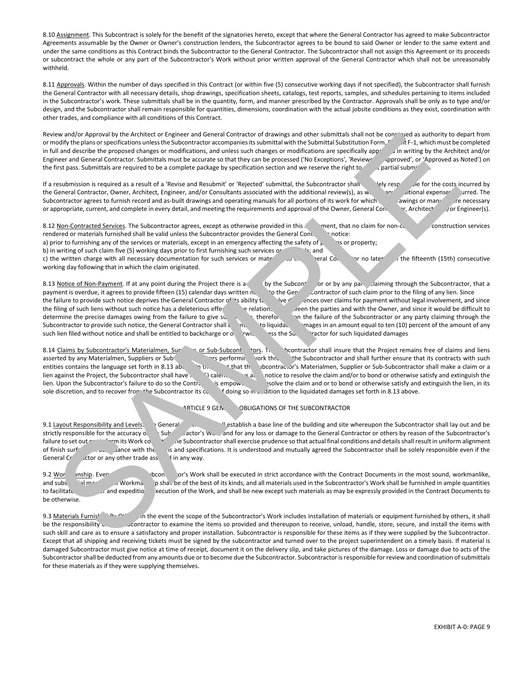8.10 Assignment. This Subcontract is solely for the benefit of the signatories hereto, except that where the General Contractor has agreed to make Subcontractor Agreements assumable by the Owner or Owner's construction lenders, the Subcontractor agrees to be bound to said Owner or lender to the same extent and under the same conditions as this Contract binds the Subcontractor to the General Contractor. The Subcontractor shall not assign this Agreement or its proceeds or subcontract the whole or any part of the Subcontractor's Work without prior written approval of the General Contractor which shall not be unreasonably withheld.

8.11 Approvals. Within the number of days specified in this Contract (or within five (5) consecutive working days if not specified), the Subcontractor shall furnish the General Contractor with all necessary details, shop drawings, specification sheets, catalogs, test reports, samples, and schedules pertaining to items included in the Subcontractor's work. These submittals shall be in the quantity, form, and manner prescribed by the Contractor. Approvals shall be only as to type and/or design, and the Subcontractor shall remain responsible for quantities, dimensions, coordination with the actual jobsite conditions as they exist, coordination with other trades, and compliance with all conditions of this Contract.

Review and/or Approval by the Architect or Engineer and General Contractor of drawings and other submittals shall not be construed as authority to depart from or modify the plans or specifications unless the Subcontractor accompanies its submittal with the Submittal Substitution Form,  $r$  the F-1, which must be completed in full and describe the proposed changes or modifications, and unless such changes or modifications are specifically approved in writing by the Architect and/or Engineer and General Contractor. Submittals must be accurate so that they can be processed ('No Exceptions', 'Reviewed approved', or 'Approved as Noted') on the first pass. Submittals are required to be a complete package by specification section and we reserve the right to refer in regional submittals.

If a resubmission is required as a result of a 'Revise and Resubmit' or 'Rejected' submittal, the Subcontractor shall lely responsible for the costs incurred by the General Contractor, Owner, Architect, Engineer, and/or Consultants associated with the additional review(s), as well as any additional expenses incurred. The Subcontractor agrees to furnish record and as-built drawings and operating manuals for all portions of its work for which such awings or manuals for all portions of its work for which such awings or manuals for all portion or appropriate, current, and complete in every detail, and meeting the requirements and approval of the Owner, General Contractor, Architect (or Engineer(s).

8.12 Non-Contracted Services. The Subcontractor agrees, except as otherwise provided in this Agreement, that no claim for non-contracted Services or the Subcontractor agrees, except as otherwise provided in this Agreement, rendered or materials furnished shall be valid unless the Subcontractor provides the General Contractor notice:

a) prior to furnishing any of the services or materials, except in an emergency affecting the safety of  $p = \frac{1}{2}$  as or property;

b) in writing of such claim five (5) working days prior to first furnishing such services or state is; and

c) the written charge with all necessary documentation for such services or mate in the service or the General Contractor or no later than the fifteenth (15th) consecutive working day following that in which the claim originated.

8.13 Notice of Non-Payment. If at any point during the Project there is a claim by the Subcontractor of any party claiming through the Subcontractor, that a payment is overdue, it agrees to provide fifteen (15) calendar da payment is overdue, it agrees to provide fifteen (15) calendar days written notice to the General Contractor of the General Contractor of the General Contractor of any lien. Since the filing of any lien. Since the General the failure to provide such notice deprives the General Contractor of 'ts ability to verburner over claims for payment without legal involvement, and since the filing of such liens without such notice has a deleterious effections of relations of the parties and with the Owner, and since it would be difficult to determine the precise damages owing from the failure to give such the Subcontractor or any party claiming through the Subcontractor to provide such notice, the General Contractor shall  $\mathbf{t}$  to liquidate an ages in an amount equal to ten (10) percent of the amount of any such lien filed without notice and shall be entitled to backcharge or otherwise assess the Subcontractor for such liquidated damages we are the fortest of the fortest of forest and forest of the system and the two-boxines and the system and the system and the system and the system and the system and the system and the system and the system and the syst

8.14 Claims by Subcontractor's Materialmen, Suppliers or Sub-Subcontractors in the Suppliers of Claims free of claims and liens asserted by any Materialmen, Suppliers or Subcontractors performing work through the Subcontractor and shall further ensure that its contracts with such entities contains the language set forth in 8.13 above. In the Subcontractor's Materialmen, Supplier or Sub-Subcontractor shall make a claim or a lien against the Project, the Subcontractor shall have  $\frac{1}{2}$  calendary safter notice to resolve the claim and/or to bond or otherwise satisfy and extinguish the lien. Upon the Subcontractor's failure to do so the Contractor's empower solve the claim and or to bond or otherwise satisfy and extinguish the lien, in its sole discretion, and to recover from the Subcontractor its costs of doing so in addition to the liquidated damages set forth in 8.13 above.

ARTICLE 9 GEN. OBLIGATIONS OF THE SUBCONTRACTOR

9.1 Layout Responsibility and Levels. General Contractor shall lay out and be General Contractor shall lay out and be strictly responsible for the accuracy of the Subcontractor's Work and for any loss or damage to the General Contractor or others by reason of the Subcontractor's failure to set out or perform its Work correction in e Subcontractor shall exercise prudence so that actual final conditions and details shall result in uniform alignment of finish surfaces in ance with the plans and specifications. It is understood and mutually agreed the Subcontractor shall be solely responsible even if the General  $Cr$  ctor or any other trade asset in any way.

9.2 Workgont of the Subcontractor's Workshall be executed in strict accordance with the Contract Documents in the most sound, workmanlike, and substantial manner. All workmanship shall be of the best of its kinds, and all materials used in the Subcontractor's Work shall be furnished in ample quantities<br>to facilitate the Contract Documents to and expeditio are If and expedition xecution of the Work, and shall be new except such materials as may be expressly provided in the Contract Documents to be otherwise.

9.3 Materials Furnished by others, it shall in the event the scope of the Subcontractor's Work includes installation of materials or equipment furnished by others, it shall be the responsibility only contractor to examine the items so provided and thereupon to receive, unload, handle, store, secure, and install the items with such skill and care as to ensure a satisfactory and proper installation. Subcontractor is responsible for these items as if they were supplied by the Subcontractor. Except that all shipping and receiving tickets must be signed by the subcontractor and turned over to the project superintendent on a timely basis. If material is damaged Subcontractor must give notice at time of receipt, document it on the delivery slip, and take pictures of the damage. Loss or damage due to acts of the Subcontractor shall be deducted from any amounts due or to become due the Subcontractor. Subcontractor is responsible for review and coordination of submittals for these materials as if they were supplying themselves .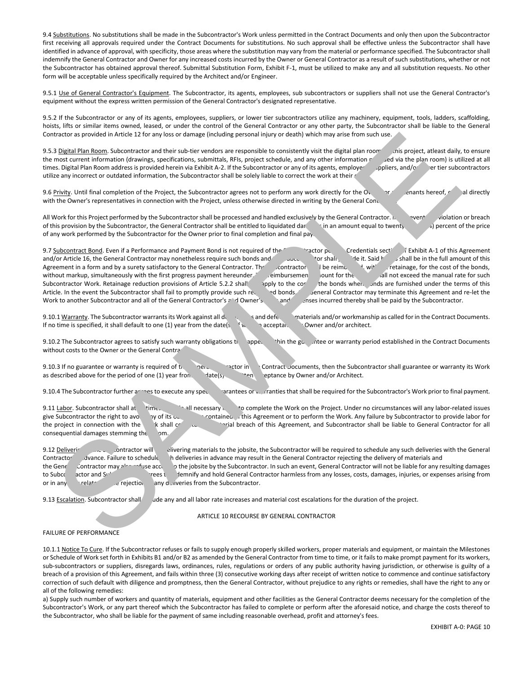9.4 Substitutions. No substitutions shall be made in the Subcontractor's Work unless permitted in the Contract Documents and only then upon the Subcontractor first receiving all approvals required under the Contract Documents for substitutions. No such approval shall be effective unless the Subcontractor shall have identified in advance of approval, with specificity, those areas where the substitution may vary from the material or performance specified. The Subcontractor shall indemnify the General Contractor and Owner for any increased costs incurred by the Owner or General Contractor as a result of such substitutions, whether or not the Subcontractor has obtained approval thereof. Submittal Substitution Form, Exhibit F-1, must be utilized to make any and all substitution requests. No other form will be acceptable unless specifically required by the Architect and/or Engineer.

9.5.1 Use of General Contractor's Equipment. The Subcontractor, its agents, employees, sub subcontractors or suppliers shall not use the General Contractor's equipment without the express written permission of the General Contractor's designated representative.

9.5.2 If the Subcontractor or any of its agents, employees, suppliers, or lower tier subcontractors utilize any machinery, equipment, tools, ladders, scaffolding, hoists, lifts or similar items owned, leased, or under the control of the General Contractor or any other party, the Subcontractor shall be liable to the General Contractor as provided in Article 12 for any loss or damage (including personal injury or death) which may arise from such use.

9.5.3 Digital Plan Room. Subcontractor and their sub-tier vendors are responsible to consistently visit the digital plan room for this project, atleast daily, to ensure the most current information (drawings, specifications, submittals, RFIs, project schedule, and any other information  $r$  ed via the plan room) is utilized at all times. Digital Plan Room address is provided herein via Exhibit A-2. If the Subcontractor or any of its agents, employer poliers, and/or lower tier subcontractors utilize any incorrect or outdated information, the Subcontractor shall be solely liable to correct the work at their

9.6 Privity. Until final completion of the Project, the Subcontractor agrees not to perform any work directly for the Owner or any tenants hereof, and irectly with the Owner's representatives in connection with the Project, unless otherwise directed in writing by the General Contractor.

All Work for this Project performed by the Subcontractor shall be processed and handled exclusively by the General Contractor. In event violation or breach of this provision by the Subcontractor, the General Contractor shall be entitled to liquidated damages in an amount equal to twenty-five (25%) percent of the price of any work performed by the Subcontractor for the Owner prior to final completion and final pay.

9.7 Subcontract Bond. Even if a Performance and Payment Bond is not required of the Subcontract Bond is agreement credentials section is exhibit A-1 of this Agreement and/or Article 16, the General Contractor may nonetheless require such bonds and the Subcontractor may nonetheless require such bonds and the Subcontractor shall provide it. Said bonds in the full amount of this Agreement in a form and by a surety satisfactory to the General Contractor. The scontractor be reimbursed, with retainage, for the cost of the bonds, without markup, simultaneously with the first progress payment hereunder. The reimbursement bond for the all not exceed the manual rate for such Subcontractor Work. Retainage reduction provisions of Article 5.2.2 shall apply to the cost of the bonds when bonds are furnished under the terms of this Article. In the event the Subcontractor shall fail to promptly provide such requested bonds, the General Contractor may terminate this Agreement and re-let the Work to another Subcontractor and all of the General Contractor's and Owner's and expenses incurred thereby shall be paid by the Subcontractor. The the point of the two plus to domagn (including proposition) and the system and the system of the system of the two states in the system of the system of the two states in the system of the system of the system of the

9.10.1 Warranty. The Subcontractor warrants its Work against all definition of the Contract Documents. If no time is specified, it shall default to one (1) year from the date(s  $\mathcal{N}$  acceptance by Owner and/or architect.

9.10.2 The Subcontractor agrees to satisfy such warranty obligations that appear whin the guarantee or warranty period established in the Contract Documents without costs to the Owner or the General Contractor.

9.10.3 If no guarantee or warranty is required of the General Contract Documents, then the Subcontractor shall guarantee or warranty its Work as described above for the period of one (1) year from the date(s) of when the date date of writen and/or Architect.

9.10.4 The Subcontractor further arrines to execute any special guarantees or warranties that shall be required for the Subcontractor's Work prior to final payment.

9.11 Labor. Subcontractor shall at rimes provide all necessary is to complete the Work on the Project. Under no circumstances will any labor-related issues give Subcontractor the right to avoid any of its obligations contained in this Agreement or to perform the Work. Any failure by Subcontractor to provide labor for the project in connection with the Work shall constitute a material breach of this Agreement, and Subcontractor shall be liable to General Contractor for all consequential damages stemming the om.

9.12 Deliveric and Subcontractor will be interesting materials to the jobsite, the Subcontractor will be required to schedule any such deliveries with the General Contractor Javance. Failure to schedule h deliveries in advance may result in the General Contractor rejecting the delivery of materials and the General Contractor may also refuse accessive to the jobsite by the Subcontractor. In such an event, General Contractor will not be liable for any resulting damages to Subcontractor and Subcontractor agrees to indemnify and hold General Contractor harmless from any losses, costs, damages, injuries, or expenses arising from or in any wrelated to the rejection of any deliveries from the Subcontractor.

9.13 Escalation. Subcontractor shall ude any and all labor rate increases and material cost escalations for the duration of the project.

ARTICLE 10 RECOURSE BY GENERAL CONTRACTOR

# FAILURE OF PERFORMANCE

10.1.1 Notice To Cure. If the Subcontractor refuses or fails to supply enough properly skilled workers, proper materials and equipment, or maintain the Milestones or Schedule of Work set forth in Exhibits B1 and/or B2 as amended by the General Contractor from time to time, or it fails to make prompt payment for its workers, sub-subcontractors or suppliers, disregards laws, ordinances, rules, regulations or orders of any public authority having jurisdiction, or otherwise is guilty of a breach of a provision of this Agreement, and fails within three (3) consecutive working days after receipt of written notice to commence and continue satisfactory correction of such default with diligence and promptness, then the General Contractor, without prejudice to any rights or remedies, shall have the right to any or all of the following remedies:

a) Supply such number of workers and quantity of materials, equipment and other facilities as the General Contractor deems necessary for the completion of the Subcontractor's Work, or any part thereof which the Subcontractor has failed to complete or perform after the aforesaid notice, and charge the costs thereof to the Subcontractor, who shall be liable for the payment of same including reasonable overhead, profit and attorney's fees.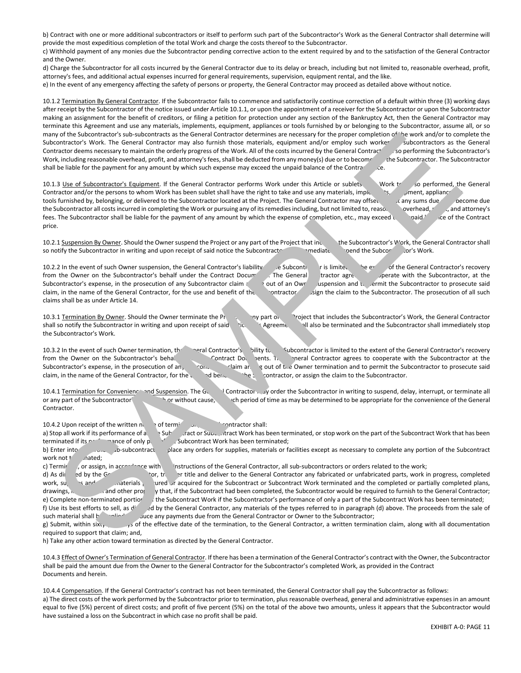b) Contract with one or more additional subcontractors or itself to perform such part of the Subcontractor's Work as the General Contractor shall determine will provide the most expeditious completion of the total Work and charge the costs thereof to the Subcontractor.

c) Withhold payment of any monies due the Subcontractor pending corrective action to the extent required by and to the satisfaction of the General Contractor and the Owner.

d) Charge the Subcontractor for all costs incurred by the General Contractor due to its delay or breach, including but not limited to, reasonable overhead, profit, attorney's fees, and additional actual expenses incurred for general requirements, supervision, equipment rental, and the like.

e) In the event of any emergency affecting the safety of persons or property, the General Contractor may proceed as detailed above without notice.

10.1.2 Termination By General Contractor. If the Subcontractor fails to commence and satisfactorily continue correction of a default within three (3) working days after receipt by the Subcontractor of the notice issued under Article 10.1.1, or upon the appointment of a receiver for the Subcontractor or upon the Subcontractor making an assignment for the benefit of creditors, or filing a petition for protection under any section of the Bankruptcy Act, then the General Contractor may terminate this Agreement and use any materials, implements, equipment, appliances or tools furnished by or belonging to the Subcontractor, assume all, or so many of the Subcontractor's sub-subcontracts as the General Contractor determines are necessary for the proper completion of the work and/or to complete the Subcontractor's Work. The General Contractor may also furnish those materials, equipment and/or employ such workers subcontractors as the General Contractor deems necessary to maintain the orderly progress of the Work. All of the costs incurred by the General Contract<sup>\*</sup>, so performing the Subcontractor's Work, including reasonable overhead, profit, and attorney's fees, shall be deducted from any money(s) due or to become the Subcontractor. The Subcontractor shall be liable for the payment for any amount by which such expense may exceed the unpaid balance of the Contract price.

10.1.3 Use of Subcontractor's Equipment. If the General Contractor performs Work under this Article or sublets Work to be so performed, the General Contractor and/or the persons to whom Work has been sublet shall have the right to take and use any materials, implements, appliances or the persons to whom Work has been sublet shall have the right to take and use any mat tools furnished by, belonging, or delivered to the Subcontractor located at the Project. The General Contractor may offset any sums due or to become due the Subcontractor all costs incurred in completing the Work or pursuing any of its remedies including, but not limited to, reaso. overhead, and attorney's fees. The Subcontractor shall be liable for the payment of any amount by which the expense of completion, etc., may exceed the social state of the Contract price.

10.2.1 Suspension By Owner. Should the Owner suspend the Project or any part of the Project that includes the Subcontractor's Work, the General Contractor shall so notify the Subcontractor in writing and upon receipt of said notice the Subcontractor shall immediately spend the Subcontractor's Work.

10.2.2 In the event of such Owner suspension, the General Contractor's liability esubcontractor is limited to the General Contractor's recovery from the Owner on the Subcontractor's behalf under the Contract Documents. The General tractor agrees to perate with the Subcontractor, at the Subcontractor's expense, in the prosecution of any Subcontractor claim and to provid out of an Owner suspension and to permit the Subcontractor to prosecute said claim, in the name of the General Contractor, for the use and benefit of the Subcontractor or assign the claim to the Subcontractor. The prosecution of all such claims shall be as under Article 14.

10.3.1 Termination By Owner. Should the Owner terminate the Protection any part of the Project that includes the Subcontractor's Work, the General Contractor shall so notify the Subcontractor in writing and upon receipt of said i. Agreement shall also be terminated and the Subcontractor shall immediately stop the Subcontractor's Work.

10.3.2 In the event of such Owner termination, the General Contractor's lility to Subcontractor is limited to the extent of the General Contractor's recovery from the Owner on the Subcontractor's behalf under the Contract Documents. The Subcontractor agrees to cooperate with the Subcontractor at the Subcontractor's expense, in the prosecution of an,  $\gamma$ on,  $\gamma$  claim aring out of the Owner termination and to permit the Subcontractor to prosecute said claim, in the name of the General Contractor, for the use and benefit of the subcontractor, or assign the claim to the Subcontractor.

10.4.1 Termination for Convenience and Suspension. The General Contractor may order the Subcontractor in writing to suspend, delay, interrupt, or terminate all or any part of the Subcontractor' without cause, with or without cause, or such period of time as may be determined to be appropriate for the convenience of the General Contractor.

10.4.2 Upon receipt of the written notice of termination, the Subcontractor shall: a) Stop all work if its performance of ally subcontract or Subcontract Work has been terminated, or stop work on the part of the Subcontract Work that has been terminated if its performance of only part of Subcontract Work has been terminated; b) Enter into no subcontract place any orders for supplies, materials or facilities except as necessary to complete any portion of the Subcontract work not t nated;

c) Terminate, or assign, in accordance with the instructions of the General Contractor, all sub-subcontractors or orders related to the work; d) As directed by the General Contractor any fabricated or unfabricated parts, work in progress, completed of unfabricated parts, work in progress, completed work, supplies and other inity of acquired for the Subcontract or Subcontract Work terminated and the completed or partially completed plans, drawings, and other propuse that, if the Subcontract had been completed, the Sub drawings, i. and other property that, if the Subcontract had been completed, the Subcontractor would be required to furnish to the General Contractor; e) Complete non-terminated portior the Subcontract Work if the Subcontractor's performance of only a part of the Subcontract Work has been terminated; f) Use its best efforts to sell, as dientily ad by the General Contractor, any materials of the types referred to in paragraph (d) above. The proceeds from the sale of such material shall be applied to reduce any payments due from the General Contractor or Owner to the Subcontractor; The Subcordinate Subcordinates the Georgia Constant of the Subcordinates and the subcordinates and the subcordinates and the subcordinates and the subcordinates and the subcordinates and the subcordinates and the subcordi

g) Submit, within sixty (50) data of the effective date of the termination, to the General Contractor, a written termination claim, along with all documentation required to support that claim; and,

h) Take any other action toward termination as directed by the General Contractor.

10.4.3 Effect of Owner's Termination of General Contractor. If there has been a termination of the General Contractor's contract with the Owner, the Subcontractor shall be paid the amount due from the Owner to the General Contractor for the Subcontractor's completed Work, as provided in the Contract Documents and herein.

10.4.4 Compensation. If the General Contractor's contract has not been terminated, the General Contractor shall pay the Subcontractor as follows: a) The direct costs of the work performed by the Subcontractor prior to termination, plus reasonable overhead, general and administrative expenses in an amount equal to five (5%) percent of direct costs; and profit of five percent (5%) on the total of the above two amounts, unless it appears that the Subcontractor would have sustained a loss on the Subcontract in which case no profit shall be paid.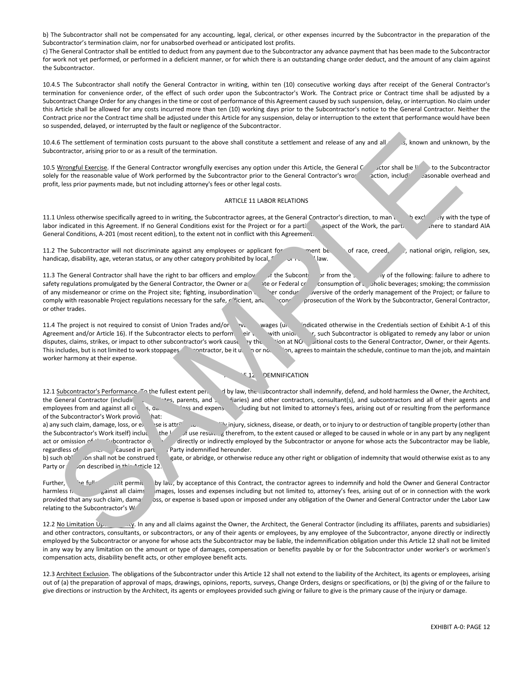b) The Subcontractor shall not be compensated for any accounting, legal, clerical, or other expenses incurred by the Subcontractor in the preparation of the Subcontractor's termination claim, nor for unabsorbed overhead or anticipated lost profits.

c) The General Contractor shall be entitled to deduct from any payment due to the Subcontractor any advance payment that has been made to the Subcontractor for work not yet performed, or performed in a deficient manner, or for which there is an outstanding change order deduct, and the amount of any claim against the Subcontractor.

10.4.5 The Subcontractor shall notify the General Contractor in writing, within ten (10) consecutive working days after receipt of the General Contractor's termination for convenience order, of the effect of such order upon the Subcontractor's Work. The Contract price or Contract time shall be adjusted by a Subcontract Change Order for any changes in the time or cost of performance of this Agreement caused by such suspension, delay, or interruption. No claim under this Article shall be allowed for any costs incurred more than ten (10) working days prior to the Subcontractor's notice to the General Contractor. Neither the Contract price nor the Contract time shall be adjusted under this Article for any suspension, delay or interruption to the extent that performance would have been so suspended, delayed, or interrupted by the fault or negligence of the Subcontractor.

10.4.6 The settlement of termination costs pursuant to the above shall constitute a settlement and release of any and all s, known and unknown, by the Subcontractor, arising prior to or as a result of the termination.

10.5 Wrongful Exercise. If the General Contractor wrongfully exercises any option under this Article, the General Contractor shall be light to the Subcontractor shall be light to the Subcontractor shall be light to the Sub solely for the reasonable value of Work performed by the Subcontractor prior to the General Contractor's wrong profit, less prior payments made, but not including attorney's fees or other legal costs.

### ARTICLE 11 LABOR RELATIONS

11.1 Unless otherwise specifically agreed to in writing, the Subcontractor agrees, at the General Contractor's direction, to man the seclusively with the type of labor indicated in this Agreement. If no General Conditions exist for the Project or for a particular aspect of the Work, the particular and are to standard AIA General Conditions, A-201 (most recent edition), to the extent not in conflict with this Agreement.

11.2 The Subcontractor will not discriminate against any employees or applicant for employees on the same of race, creed, color, national origin, religion, sex, handicap, disability, age, veteran status, or any other category prohibited by local, State or Federal law.

11.3 The General Contractor shall have the right to bar officers and employ in the Subcontractor from the site of the following: failure to adhere to safety regulations promulgated by the General Contractor, the Owner or a vector Federal consumption of alcoholic beverages; smoking; the commission of any misdemeanor or crime on the Project site; fighting, insubordination on the conduct subversive of the orderly management of the Project; or failure to comply with reasonable Project regulations necessary for the safe, efficient, and and conomic prosecution of the Work by the Subcontractor, General Contractor, or other trades.

11.4 The project is not required to consist of Union Trades and/or  $v_c$  wages (unless indicated otherwise in the Credentials section of Exhibit A-1 of this Agreement and/or Article 16). If the Subcontractor elects to perform ein with union r, such Subcontractor is obligated to remedy any labor or union disputes, claims, strikes, or impact to other subcontractor's work caused by the disputional costs to the General Contractor, Owner, or their Agents.<br>This includes, but is not limited to work stoppages contractor, be it un nontractor, be it union or non-non-on-agrees to maintain the schedule, continue to man the job, and maintain worker harmony at their expense. As the settlement of terminal sign contains a subseries to a subseries and consider a subseries and of the set of the set of the set of the set of the set of the set of the set of the set of the set of the set of the set o

# E<sub>12</sub> DEMNIFICATION

12.1 Subcontractor's Performance. The fullest extent permit of by law, the Subcontractor shall indemnify, defend, and hold harmless the Owner, the Architect, the General Contractor (including its affes, parents, and subsidiaries) and other contractors, consultant(s), and subcontractors and all of their agents and employees from and against all claims, a.e. This and expenses and expense including but not limited to attorney's fees, arising out of or resulting from the performance of the Subcontractor's Work provio hat: a) any such claim, damage, loss, or expense is attributable to bodily injury, sickness, disease, or death, or to injury to or destruction of tangible property (other than

the Subcontractor's Work itself) including the loss of use resulting therefrom, to the extent caused or alleged to be caused in whole or in any part by any negligent act or omission of the Subcontractor or anyone for whose acts the Subcontractor may be liable, regardless of caused in part party indemnified hereunder.

b) such ob' on shall not be construed the rate, or abridge, or otherwise reduce any other right or obligation of indemnity that would otherwise exist as to any Party or person described in this Article 12.

Further, the fullest extent by law, by acceptance of this Contract, the contractor agrees to indemnify and hold the Owner and General Contractor harmless in equilibution and General Contractor barmless incomputation and Ge harmless from and against all claims mages, losses and expenses including but not limited to, attorney's fees, arising out of or in connection with the work provided that any such claim, dama oss, or expense is based upon or imposed under any obligation of the Owner and General Contractor under the Labor Law relating to the Subcontractor's W

12.2 No Limitation Upon Lipon Lipon Lipon and all claims against the Owner, the Architect, the General Contractor (including its affiliates, parents and subsidiaries) and other contractors, consultants, or subcontractors, or any of their agents or employees, by any employee of the Subcontractor, anyone directly or indirectly employed by the Subcontractor or anyone for whose acts the Subcontractor may be liable, the indemnification obligation under this Article 12 shall not be limited in any way by any limitation on the amount or type of damages, compensation or benefits payable by or for the Subcontractor under worker's or workmen's compensation acts, disability benefit acts, or other employee benefit acts.

12.3 Architect Exclusion. The obligations of the Subcontractor under this Article 12 shall not extend to the liability of the Architect, its agents or employees, arising out of (a) the preparation of approval of maps, drawings, opinions, reports, surveys, Change Orders, designs or specifications, or (b) the giving of or the failure to give directions or instruction by the Architect, its agents or employees provided such giving or failure to give is the primary cause of the injury or damage.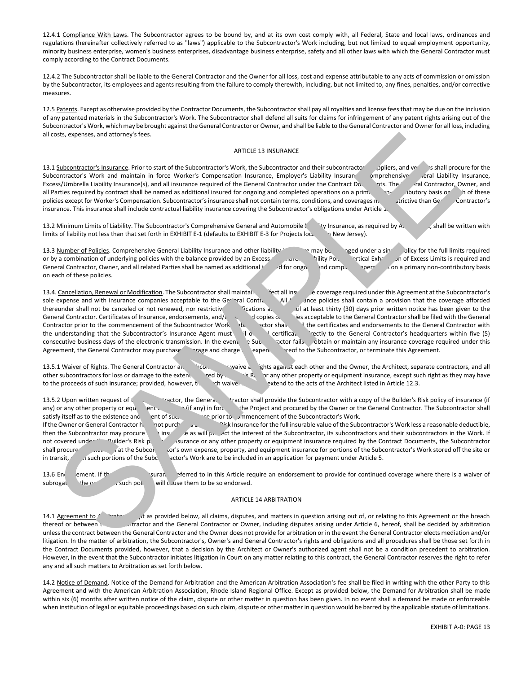12.4.1 Compliance With Laws. The Subcontractor agrees to be bound by, and at its own cost comply with, all Federal, State and local laws, ordinances and regulations (hereinafter collectively referred to as "laws") applicable to the Subcontractor's Work including, but not limited to equal employment opportunity, minority business enterprise, women's business enterprises, disadvantage business enterprise, safety and all other laws with which the General Contractor must comply according to the Contract Documents.

12.4.2 The Subcontractor shall be liable to the General Contractor and the Owner for all loss, cost and expense attributable to any acts of commission or omission by the Subcontractor, its employees and agents resulting from the failure to comply therewith, including, but not limited to, any fines, penalties, and/or corrective measures.

12.5 Patents. Except as otherwise provided by the Contractor Documents, the Subcontractor shall pay all royalties and license fees that may be due on the inclusion of any patented materials in the Subcontractor's Work. The Subcontractor shall defend all suits for claims for infringement of any patent rights arising out of the Subcontractor's Work, which may be brought against the General Contractor or Owner, and shall be liable to the General Contractor and Owner for all loss, including all costs, expenses, and attorney's fees.

### ARTICLE 13 INSURANCE

13.1 Subcontractor's Insurance. Prior to start of the Subcontractor's Work, the Subcontractor and their subcontractor pilers, and ventors is hall procure for the Subcontractor's Work and maintain in force Worker's Compensation Insurance, Employer's Liability Insurance omprehensive eral Liability Insurance, Excess/Umbrella Liability Insurance(s), and all insurance required of the Ge Excess/Umbrella Liability Insurance(s), and all insurance required of the General Contractor under the Contract Documents. The all Parties required by contract shall be named as additional insured for ongoing and completed operations on a primanum on the unbutory basis on the hese policies except for Worker's Compensation. Subcontractor's insurance shall not contain terms, conditions, and coverages noticive than General Contractor's insurance. This insurance shall include contractual liability insurance covering the Subcontractor's obligations under Article 1.

13.2 Minimum Limits of Liability. The Subcontractor's Comprehensive General and Automobile limity Insurance, as required by A limits of liability not less than that set forth in EXHIBIT E-1 (defaults to EXHIBIT E-3 for Projects located in New Jersey).

13.3 Number of Policies. Comprehensive General Liability Insurance and other liability in a may be a may be a may be a single policy for the full limits required or by a combination of underlying policies with the balance provided by an Excess (and combination of underlying policies with the balance provided by an Excess (and continuity Policylic nicid Exhaustion of Excess Limits i General Contractor, Owner, and all related Parties shall be named as additional insurable ongoing the completed operations on a primary non-contributory basis on each of these policies.

13.4. Cancellation, Renewal or Modification. The Subcontractor shall maintain integration in equived under this Agreement at the Subcontractor's sole expense and with insurance companies acceptable to the General Contractor All insurance policies shall contain a provision that the coverage afforded thereunder shall not be canceled or not renewed, nor restrictive modifications a diat least thirty (30) days prior written notice has been given to the General Contractor. Certificates of Insurance, endorsements, and/or copies of propies of policies acceptable to the General Contractor shall be filed with the General Contractor prior to the commencement of the Subcontractor Work by notice shall in the certificates and endorsements to the General Contractor with the understanding that the Subcontractor's Insurance Agent must il original certifical certification rectly to the General Contractor's headquarters within five (5) consecutive business days of the electronic transmission. In the event  $\Rightarrow$  Subcontractor fails obtain or maintain any insurance coverage required under this Agreement, the General Contractor may purchase coverage and charge expense the Subcontractor, or terminate this Agreement.

13.5.1 Waiver of Rights. The General Contractor and Subconting Contractor waive all rights against each other and the Owner, the Architect, separate contractors, and all other subcontractors for loss or damage to the extent red by each sight or any other property or equipment insurance, except such right as they may have to the proceeds of such insurance; provided, however, that included waiver to the acts of the Architect listed in Article 12.3.

13.5.2 Upon written request of the Subcontractor shall provide the Subcontractor with a copy of the Builder's Risk policy of insurance (if any) or any other property or equipment in surfany) in force for the Project and procured by the Owner or the General Contractor. The Subcontractor shall satisfy itself as to the existence and ent of such insurance prior to commencement of the Subcontractor's Work. If the Owner or General Contractor have not purchased Builder's Risurance for the full insurable value of the Subcontractor's Work less a reasonable deductible, then the Subcontractor may procure such insurance as will protect the interest of the Subcontractor, its subcontractors and their subcontractors in the Work. If not covered under the Builder's Risk policy insurance or any other property or equipment insurance required by the Contract Documents, the Subcontractor shall procure and the Subcontractor's Work stored off the site or at the Subcontractor's work stored off the site or in transit, whis such portions of the Subcontractor's Work are to be included in an application for payment under Article 5. ARTICLE 23 INSURANCE CONTINUES INTO A CONTINUES INTO A CONTINUES INTERFERIENCE CONTINUES INTERFERIENCE CONTINUES INTERFERIENCE CONTINUES INTERFERIENCE CONTINUES INTERFERIENCE CONTINUES INTERFERIENCE CONTINUES INTERFERIENC

13.6 End ement. If the policies of insurance referred to in this Article require an endorsement to provide for continued coverage where there is a waiver of subrogat the owners of such policies will class them to be so endorsed.

### ARTICLE 14 ARBITRATION

14.1 Agreement to Arbitrate: Except as provided below, all claims, disputes, and matters in question arising out of, or relating to this Agreement or the breach thereof or between the Subcontractor and the General Contractor or Owner, including disputes arising under Article 6, hereof, shall be decided by arbitration unless the contract between the General Contractor and the Owner does not provide for arbitration or in the event the General Contractor elects mediation and/or litigation. In the matter of arbitration, the Subcontractor's, Owner's and General Contractor's rights and obligations and all procedures shall be those set forth in the Contract Documents provided, however, that a decision by the Architect or Owner's authorized agent shall not be a condition precedent to arbitration. However, in the event that the Subcontractor initiates litigation in Court on any matter relating to this contract, the General Contractor reserves the right to refer any and all such matters to Arbitration as set forth below.

14.2 Notice of Demand. Notice of the Demand for Arbitration and the American Arbitration Association's fee shall be filed in writing with the other Party to this Agreement and with the American Arbitration Association, Rhode Island Regional Office. Except as provided below, the Demand for Arbitration shall be made within six (6) months after written notice of the claim, dispute or other matter in question has been given. In no event shall a demand be made or enforceable when institution of legal or equitable proceedings based on such claim, dispute or other matter in question would be barred by the applicable statute of limitations.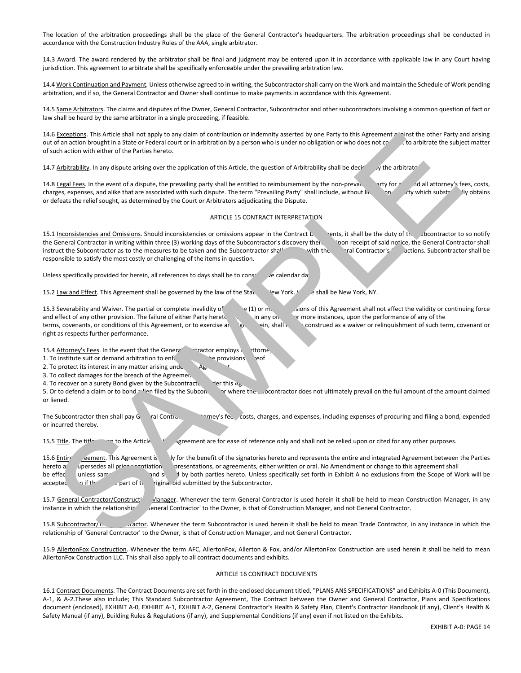The location of the arbitration proceedings shall be the place of the General Contractor's headquarters. The arbitration proceedings shall be conducted in accordance with the Construction Industry Rules of the AAA, single arbitrator.

14.3 Award. The award rendered by the arbitrator shall be final and judgment may be entered upon it in accordance with applicable law in any Court having jurisdiction. This agreement to arbitrate shall be specifically enforceable under the prevailing arbitration law.

14.4 Work Continuation and Payment. Unless otherwise agreed to in writing, the Subcontractor shall carry on the Work and maintain the Schedule of Work pending arbitration, and if so, the General Contractor and Owner shall continue to make payments in accordance with this Agreement.

14.5 Same Arbitrators. The claims and disputes of the Owner, General Contractor, Subcontractor and other subcontractors involving a common question of fact or law shall be heard by the same arbitrator in a single proceeding, if feasible.

14.6 Exceptions. This Article shall not apply to any claim of contribution or indemnity asserted by one Party to this Agreement a hinst the other Party and arising out of an action brought in a State or Federal court or in arbitration by a person who is under no obligation or who does not consent to arbitrate the subject matter of such action with either of the Parties hereto.

14.7 Arbitrability. In any dispute arising over the application of this Article, the question of Arbitrability shall be decident of the arbitrator.

14.8 Legal Fees. In the event of a dispute, the prevailing party shall be entitled to reimbursement by the non-prevaility for any and all attorney's fees, costs, charges, expenses, and alike that are associated with such dispute. The term "Prevailing Party" shall include, without limitation, and the substantially obtains or defeats the relief sought, as determined by the Court or Arbitrators adjudicating the Dispute.

## ARTICLE 15 CONTRACT INTERPRETATION

15.1 Inconsistencies and Omissions. Should inconsistencies or omissions appear in the Contract Loughts, it shall be the duty of the Subcontractor to so notify the General Contractor in writing within three (3) working days of the Subcontractor's discovery the subcontreceipt of said notice, the General Contractor shall instruct the Subcontractor as to the measures to be taken and the Subcontractor shall comply with the General Contractor's instructions. Subcontractor shall be responsible to satisfy the most costly or challenging of the items in question.

Unless specifically provided for herein, all references to days shall be to consecutive calendar day

15.2 Law and Effect. This Agreement shall be governed by the law of the State of New York. Yew York. Yes shall be New York, NY.

15.3 Severability and Waiver. The partial or complete invalidity of  $q(1)$  or more provisions of this Agreement shall not affect the validity or continuing force and effect of any other provision. The failure of either Party hereto to in any one or more instances, upon the performance of any of the terms, covenants, or conditions of this Agreement, or to exercise antiple herein, shall not construed as a waiver or relinquishment of such term, covenant or right as respects further performance.

15.4 Attorney's Fees. In the event that the General Contractor employs and ttorne,

1. To institute suit or demand arbitration to enforce any of the provisions hereof

2. To protect its interest in any matter arising under  $A_{\beta}$ ,

3. To collect damages for the breach of the Agreement

4. To recover on a surety Bond given by the Subcontractured the this  $A_{\beta}$ .

5. Or to defend a claim or to bond a lien filed by the Subcontractor where the Subcontractor does not ultimately prevail on the full amount of the amount claimed or liened.

The Subcontractor then shall pay General Contractor's represe of costs, charges, and expenses, including expenses of procuring and filing a bond, expended or incurred thereby.

15.5 Title. The titles are to the Articles of the Article Agreement are for ease of reference only and shall not be relied upon or cited for any other purposes.

15.6 Entire eement. This Agreement is ly for the benefit of the signatories hereto and represents the entire and integrated Agreement between the Parties hereto a upersedes all prior negotiation oresentations, or agreements, either written or oral. No Amendment or change to this agreement shall be effec unless same ind signed by both parties hereto. Unless specifically set forth in Exhibit A no exclusions from the Scope of Work will be accepted even if the part of the original bid submitted by the Subcontractor. **BEACHION AND detailed and the species of the species of the species of the Mathematical control and the species of the species of the species of the species of the species of the species of the species of the species of t** 

15.7 General Contractor/Constructich Manager. Whenever the term General Contractor is used herein it shall be held to mean Construction Manager, in any instance in which the relationship of eneral Contractor' to the Owner, is that of Construction Manager, and not General Contractor.

15.8 Subcontractor/Trade Contractor/Trade Contractor/Trade Contractor/Trade Contractor/Trade Contractor/Trade Contractor/Trade Contractor/Trade Contractor/Trade Contractor/Trade Contractor/Trade Contractor/Trade Contractor relationship of 'General Contractor' to the Owner, is that of Construction Manager, and not General Contractor.

15.9 AllertonFox Construction. Whenever the term AFC, AllertonFox, Allerton & Fox, and/or AllertonFox Construction are used herein it shall be held to mean AllertonFox Construction LLC. This shall also apply to all contract documents and exhibits.

# ARTICLE 16 CONTRACT DOCUMENTS

16.1 Contract Documents. The Contract Documents are set forth in the enclosed document titled, "PLANS ANS SPECIFICATIONS" and Exhibits A-0 (This Document), A-1, & A-2.These also include; This Standard Subcontractor Agreement, The Contract between the Owner and General Contractor, Plans and Specifications document (enclosed), EXHIBIT A-0, EXHIBIT A-1, EXHIBIT A-2, General Contractor's Health & Safety Plan, Client's Contractor Handbook (if any), Client's Health & Safety Manual (if any), Building Rules & Regulations (if any), and Supplemental Conditions (if any) even if not listed on the Exhibits.